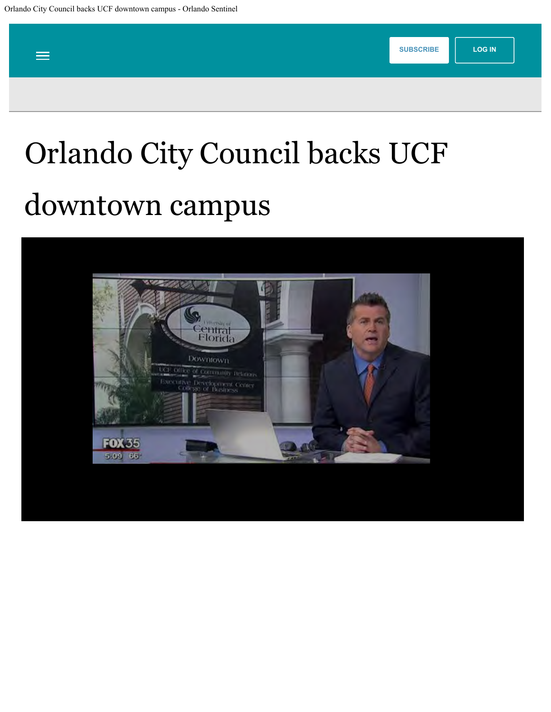<span id="page-0-0"></span>

## Orlando City Council backs UCF downtown campus

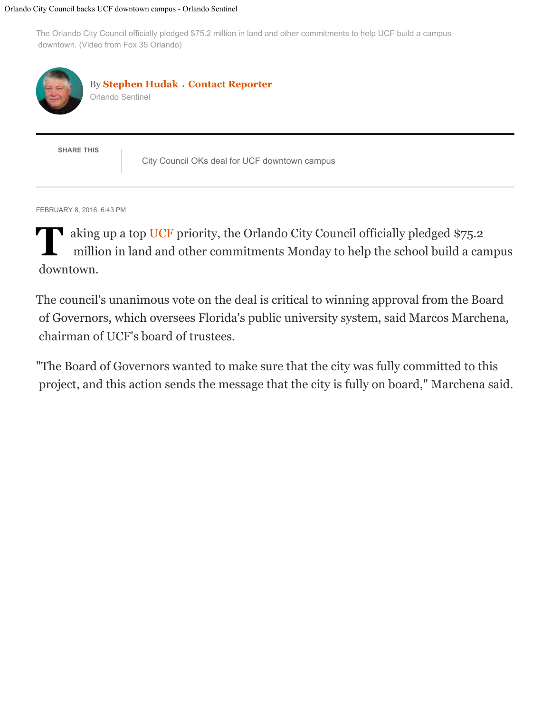## Orlando City Council backs UCF downtown campus - Orlando Sentinel

The Orlando City Council officially pledged \$75.2 million in land and other commitments to help UCF build a campus downtown. (Video from Fox 35 Orlando)



By **Stephen Hudak** • **Contact Reporter** Orlando Sentinel

**SHARE THIS**

City Council OKs deal for UCF downtown campus

FEBRUARY 8, 2016, 6:43 PM

**T** aking up a top UCF priority, the Orlando City Council officially pledged \$75.2 million in land and other commitments Monday to help the school build a campus downtown.

The council's unanimous vote on the deal is critical to winning approval from the Board of Governors, which oversees Florida's public university system, said Marcos Marchena, chairman of UCF's board of trustees.

"The Board of Governors wanted to make sure that the city was fully committed to this project, and this action sends the message that the city is fully on board," Marchena said.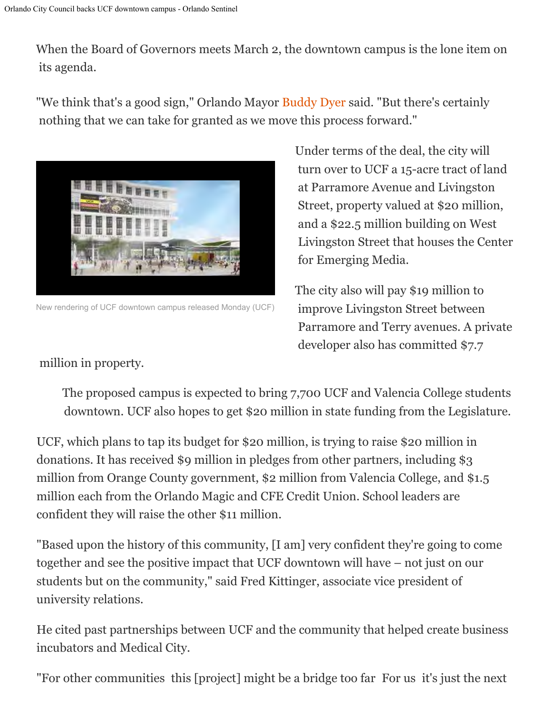When the Board of Governors meets March 2, the downtown campus is the lone item on its agenda.

"We think that's a good sign," Orlando Mayor Buddy Dyer said. "But there's certainly nothing that we can take for granted as we move this process forward."



New rendering of UCF downtown campus released Monday (UCF)

Under terms of the deal, the city will turn over to UCF a 15-acre tract of land at Parramore Avenue and Livingston Street, property valued at \$20 million, and a \$22.5 million building on West Livingston Street that houses the Center for Emerging Media.

The city also will pay \$19 million to improve Livingston Street between Parramore and Terry avenues. A private developer also has committed \$7.7

million in property.

The proposed campus is expected to bring 7,700 UCF and Valencia College students downtown. UCF also hopes to get \$20 million in state funding from the Legislature.

UCF, which plans to tap its budget for \$20 million, is trying to raise \$20 million in donations. It has received \$9 million in pledges from other partners, including \$3 million from Orange County government, \$2 million from Valencia College, and \$1.5 million each from the Orlando Magic and CFE Credit Union. School leaders are confident they will raise the other \$11 million.

"Based upon the history of this community, [I am] very confident they're going to come together and see the positive impact that UCF downtown will have – not just on our students but on the community," said Fred Kittinger, associate vice president of university relations.

He cited past partnerships between UCF and the community that helped create business incubators and Medical City.

"For other communities this [project] might be a bridge too far For us it's just the next